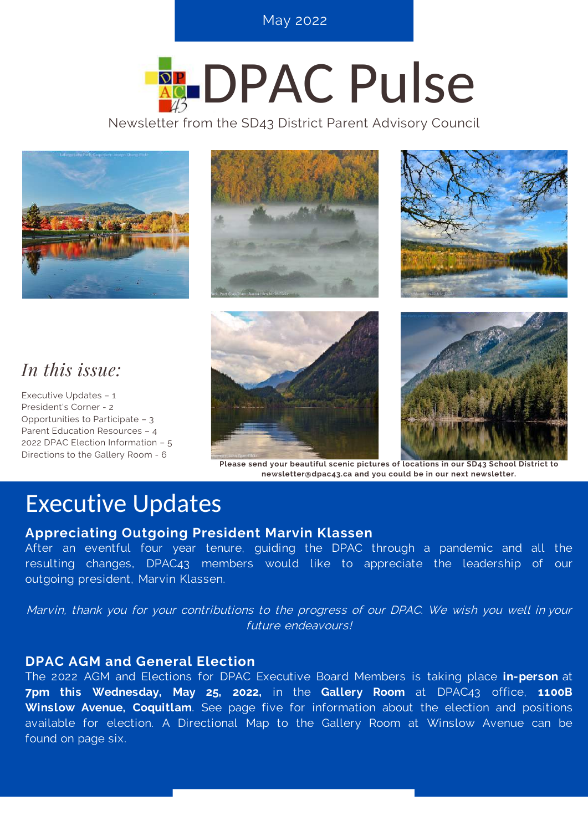**S E P T E M B E R 2 0 2 0 , I S S U E 3 O N L I N E T R E N D S** May 2022

# **REDPAC Pulse**

Newsletter from the SD43 District Parent Advisory Council







### *In this issue:*

Executive Updates – 1 President's Corner - 2 Opportunities to Participate – 3 Parent Education Resources – 4 2022 DPAC Election Information – 5 Directions to the Gallery Room - 6





**Please send your beautiful scenic pictures of locations in our SD43 School District to newsletter@dpac43.ca and you could be in our next newsletter.**

### Executive Updates

#### **Appreciating Outgoing President Marvin Klassen**

After an eventful four year tenure, guiding the DPAC through a pandemic and all the resulting changes, DPAC43 members would like to appreciate the leadership of our outgoing president, Marvin Klassen.

Marvin, thank you for your contributions to the progress of our DPAC. We wish you well in your future endeavours!

#### **DPAC AGM and General Election**

The 2022 AGM and Elections for DPAC Executive Board Members is taking place **in-person** at **7pm this Wednesday, May 25, 2022,** in the **Gallery Room** at DPAC43 office, **1100B Winslow Avenue, Coquitlam**. See page five for information about the election and positions available for election. A Directional Map to the Gallery Room at Winslow Avenue can be found on page six.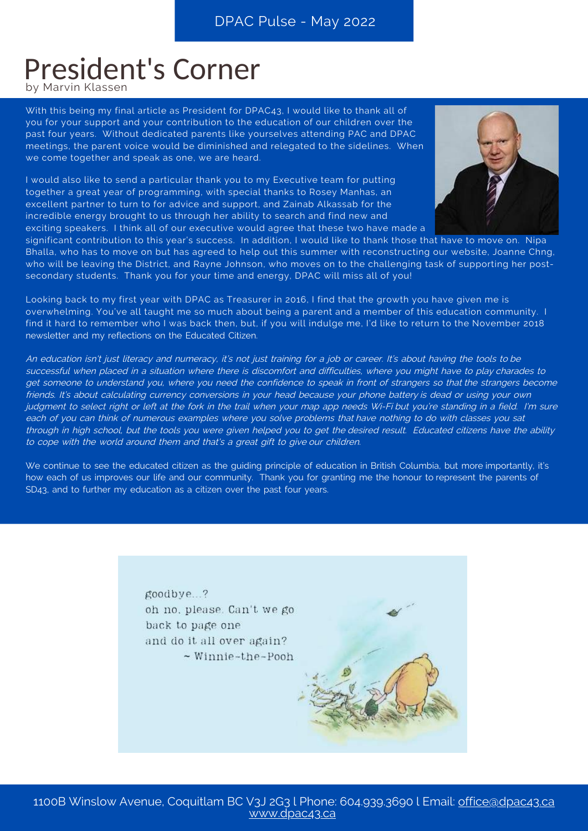### President's Corner

by Marvin Klassen

With this being my final article as President for DPAC43, I would like to thank all of you for your support and your contribution to the education of our children over the past four years. Without dedicated parents like yourselves attending PAC and DPAC meetings, the parent voice would be diminished and relegated to the sidelines. When we come together and speak as one, we are heard.

I would also like to send a particular thank you to my Executive team for putting together a great year of programming, with special thanks to Rosey Manhas, an excellent partner to turn to for advice and support, and Zainab Alkassab for the incredible energy brought to us through her ability to search and find new and exciting speakers. I think all of our executive would agree that these two have made a



significant contribution to this year's success. In addition, I would like to thank those that have to move on. Nipa Bhalla, who has to move on but has agreed to help out this summer with reconstructing our website, Joanne Chng, who will be leaving the District, and Rayne Johnson, who moves on to the challenging task of supporting her postsecondary students. Thank you for your time and energy, DPAC will miss all of you!

Looking back to my first year with DPAC as Treasurer in 2016, I find that the growth you have given me is overwhelming. You've all taught me so much about being a parent and a member of this education community. I find it hard to remember who I was back then, but, if you will indulge me, I'd like to return to the November 2018 newsletter and my reflections on the Educated Citizen.

An education isn't just literacy and numeracy, it's not just training for a job or career. It's about having the tools to be successful when placed in a situation where there is discomfort and difficulties, where you might have to play charades to get someone to understand you, where you need the confidence to speak in front of strangers so that the strangers become friends. It's about calculating currency conversions in your head because your phone battery is dead or using your own judgment to select right or left at the fork in the trail when your map app needs Wi-Fi but you're standing in a field. I'm sure each of you can think of numerous examples where you solve problems that have nothing to do with classes you sat through in high school, but the tools you were given helped you to get the desired result. Educated citizens have the ability to cope with the world around them and that's a great gift to give our children.

We continue to see the educated citizen as the guiding principle of education in British Columbia, but more importantly, it's how each of us improves our life and our community. Thank you for granting me the honour to represent the parents of SD43, and to further my education as a citizen over the past four years.

> goodbye..? oh no. please. Can't we go back to page one and do it all over again?  $\sim$  Winnie-the-Pooh

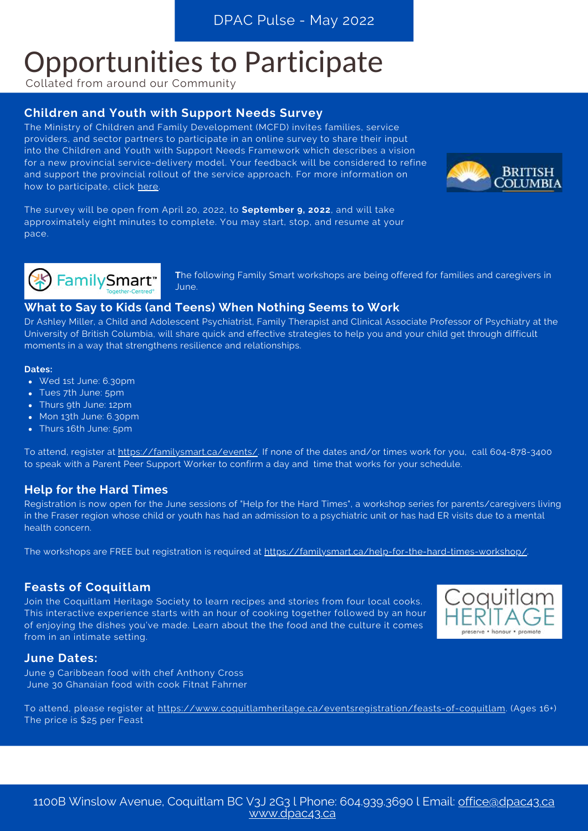# Opportunities to Participate

Collated from around our Community

#### **Children and Youth with Support Needs Survey**

The Ministry of Children and Family Development (MCFD) invites families, service providers, and sector partners to participate in an online survey to share their input into the Children and Youth with Support Needs Framework which describes a vision for a new provincial service-delivery model. Your feedback will be considered to refine and support the provincial rollout of the service approach. For more information on how to participate, click [here](https://engage.gov.bc.ca/govtogetherbc/consultation/support-needs-engagement/).



The survey will be open from April 20, 2022, to **September 9, 2022**, and will take approximately eight minutes to complete. You may start, stop, and resume at your pace.



**T**he following Family Smart workshops are being offered for families and caregivers in June.

#### **What to Say to Kids (and Teens) When Nothing Seems to Work**

Dr Ashley Miller, a Child and Adolescent Psychiatrist, Family Therapist and Clinical Associate Professor of Psychiatry at the University of British Columbia, will share quick and effective strategies to help you and your child get through difficult moments in a way that strengthens resilience and relationships.

#### **Dates:**

- Wed 1st June: 6.30pm
- Tues 7th June: 5pm
- Thurs 9th June: 12pm
- Mon 13th June: 6.30pm
- Thurs 16th June: 5pm

To attend, register at <https://familysmart.ca/events/>. If none of the dates and/or times work for you, call 604-878-3400 to speak with a Parent Peer Support Worker to confirm a day and time that works for your schedule.

#### **Help for the Hard Times**

Registration is now open for the June sessions of "Help for the Hard Times", a workshop series for parents/caregivers living in the Fraser region whose child or youth has had an admission to a psychiatric unit or has had ER visits due to a mental health concern.

The workshops are FREE but registration is required at <https://familysmart.ca/help-for-the-hard-times-workshop/>.

#### **Feasts of Coquitlam**

Join the Coquitlam Heritage Society to learn recipes and stories from four local cooks. This interactive experience starts with an hour of cooking together followed by an hour of enjoying the dishes you've made. Learn about the the food and the culture it comes from in an intimate setting.



#### **June Dates:**

June 9 Caribbean food with chef Anthony Cross June 30 Ghanaian food with cook Fitnat Fahrner

To attend, please register at [https://www.coquitlamheritage.ca/eventsregistration/feasts-of-coquitlam.](https://www.coquitlamheritage.ca/eventsregistration/feasts-of-coquitlam) (Ages 16+) The price is \$25 per Feast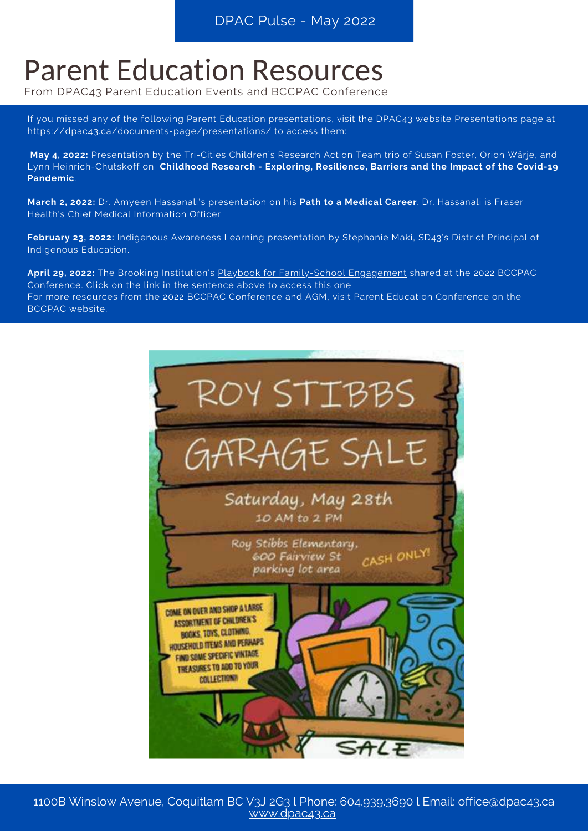# Parent Education Resources

From DPAC43 Parent Education Events and BCCPAC Conference

If you missed any of the following Parent Education presentations, visit the DPAC43 website Presentations page at https://dpac43.ca/documents-page/presentations/ to access them:

**May 4, 2022:** Presentation by the Tri-Cities Children's Research Action Team trio of Susan Foster, Orion Wärje, and Lynn Heinrich-Chutskoff on **Childhood Research - Exploring, Resilience, Barriers and the Impact of the Covid-19 Pandemic**.

**March 2, 2022:** Dr. Amyeen Hassanali's presentation on his **Path to a Medical Career**. Dr. Hassanali is Fraser Health's Chief Medical Information Officer.

**February 23, 2022:** Indigenous Awareness Learning presentation by Stephanie Maki, SD43's District Principal of Indigenous Education.

**April 29, 2022:** The Brooking Institution's Playbook for [Family-School](https://www.brookings.edu/essay/collaborating-to-transform-and-improve-education-systems-a-playbook-for-family-school-engagement/) Engagement shared at the 2022 BCCPAC Conference. Click on the link in the sentence above to access this one. For more resources from the 2022 BCCPAC [Conference](https://bccpac.bc.ca/index.php/conferences/conference-agm) and AGM, visit Parent Education Conference on the BCCPAC website.

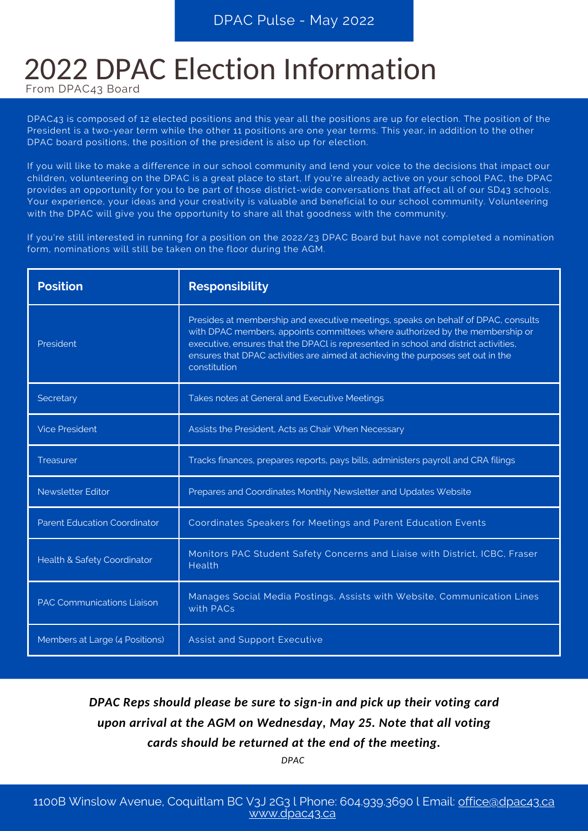# 2022 DPAC Election Information

From DPAC43 Board

DPAC43 is composed of 12 elected positions and this year all the positions are up for election. The position of the President is a two-year term while the other 11 positions are one year terms. This year, in addition to the other DPAC board positions, the position of the president is also up for election.

If you will like to make a difference in our school community and lend your voice to the decisions that impact our children, volunteering on the DPAC is a great place to start, If you're already active on your school PAC, the DPAC provides an opportunity for you to be part of those district-wide conversations that affect all of our SD43 schools. Your experience, your ideas and your creativity is valuable and beneficial to our school community. Volunteering with the DPAC will give you the opportunity to share all that goodness with the community.

If you're still interested in running for a position on the 2022/23 DPAC Board but have not completed a nomination form, nominations will still be taken on the floor during the AGM.

| <b>Position</b>                     | <b>Responsibility</b>                                                                                                                                                                                                                                                                                                                                       |
|-------------------------------------|-------------------------------------------------------------------------------------------------------------------------------------------------------------------------------------------------------------------------------------------------------------------------------------------------------------------------------------------------------------|
| President                           | Presides at membership and executive meetings, speaks on behalf of DPAC, consults<br>with DPAC members, appoints committees where authorized by the membership or<br>executive, ensures that the DPACI is represented in school and district activities,<br>ensures that DPAC activities are aimed at achieving the purposes set out in the<br>constitution |
| Secretary                           | Takes notes at General and Executive Meetings                                                                                                                                                                                                                                                                                                               |
| <b>Vice President</b>               | Assists the President, Acts as Chair When Necessary                                                                                                                                                                                                                                                                                                         |
| <b>Treasurer</b>                    | Tracks finances, prepares reports, pays bills, administers payroll and CRA filings                                                                                                                                                                                                                                                                          |
| <b>Newsletter Editor</b>            | Prepares and Coordinates Monthly Newsletter and Updates Website                                                                                                                                                                                                                                                                                             |
| <b>Parent Education Coordinator</b> | Coordinates Speakers for Meetings and Parent Education Events                                                                                                                                                                                                                                                                                               |
| Health & Safety Coordinator         | Monitors PAC Student Safety Concerns and Liaise with District, ICBC, Fraser<br>Health                                                                                                                                                                                                                                                                       |
| <b>PAC Communications Liaison</b>   | Manages Social Media Postings, Assists with Website, Communication Lines<br>with PACs                                                                                                                                                                                                                                                                       |
| Members at Large (4 Positions)      | <b>Assist and Support Executive</b>                                                                                                                                                                                                                                                                                                                         |

### *DPAC Reps should please be sure to sign-in and pick up their voting card upon arrival at the AGM on Wednesday, May 25. Note that all voting cards should be returned at the end of the meeting.*

*DPAC*